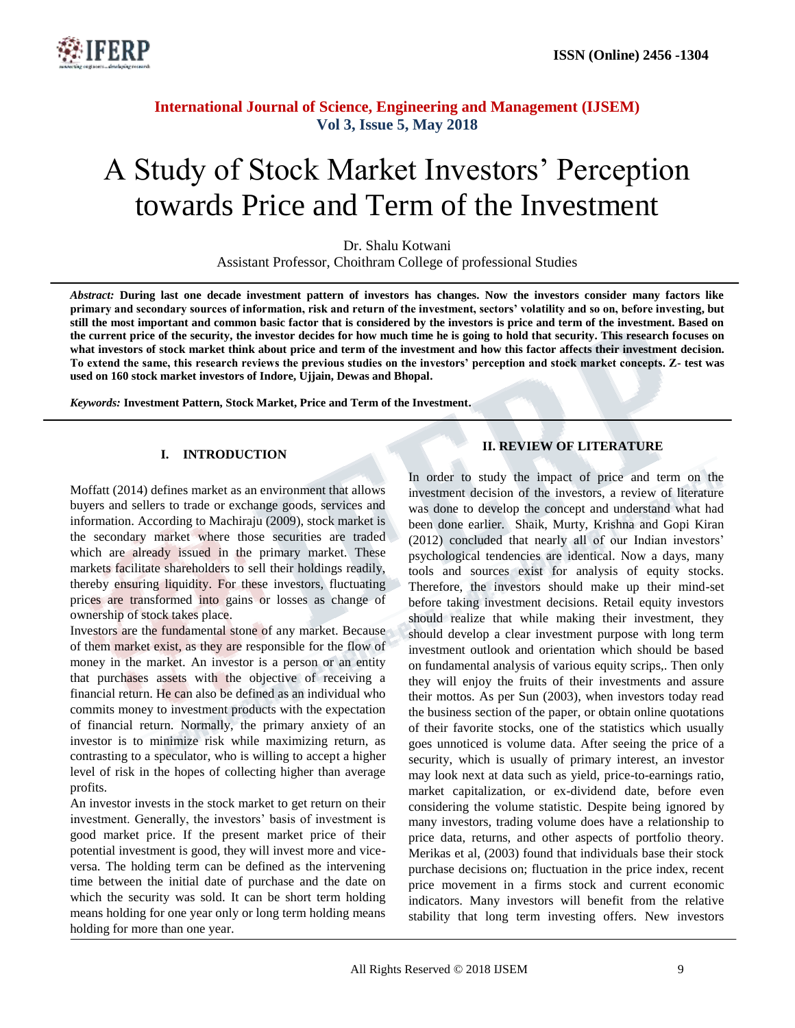

# A Study of Stock Market Investors' Perception towards Price and Term of the Investment

Dr. Shalu Kotwani Assistant Professor, Choithram College of professional Studies

*Abstract:* **During last one decade investment pattern of investors has changes. Now the investors consider many factors like primary and secondary sources of information, risk and return of the investment, sectors' volatility and so on, before investing, but still the most important and common basic factor that is considered by the investors is price and term of the investment. Based on the current price of the security, the investor decides for how much time he is going to hold that security. This research focuses on what investors of stock market think about price and term of the investment and how this factor affects their investment decision. To extend the same, this research reviews the previous studies on the investors' perception and stock market concepts. Z- test was used on 160 stock market investors of Indore, Ujjain, Dewas and Bhopal.**

*Keywords:* **Investment Pattern, Stock Market, Price and Term of the Investment.**

#### **I. INTRODUCTION**

Moffatt (2014) defines market as an environment that allows buyers and sellers to trade or exchange goods, services and information. According to Machiraju (2009), stock market is the secondary market where those securities are traded which are already issued in the primary market. These markets facilitate shareholders to sell their holdings readily, thereby ensuring liquidity. For these investors, fluctuating prices are transformed into gains or losses as change of ownership of stock takes place.

Investors are the fundamental stone of any market. Because of them market exist, as they are responsible for the flow of money in the market. An investor is a person or an entity that purchases assets with the objective of receiving a financial return. He can also be defined as an individual who commits money to investment products with the expectation of financial return. Normally, the primary anxiety of an investor is to minimize risk while maximizing return, as contrasting to a speculator, who is willing to accept a higher level of risk in the hopes of collecting higher than average profits.

An investor invests in the stock market to get return on their investment. Generally, the investors' basis of investment is good market price. If the present market price of their potential investment is good, they will invest more and viceversa. The holding term can be defined as the intervening time between the initial date of purchase and the date on which the security was sold. It can be short term holding means holding for one year only or long term holding means holding for more than one year.

### **II. REVIEW OF LITERATURE**

In order to study the impact of price and term on the investment decision of the investors, a review of literature was done to develop the concept and understand what had been done earlier. Shaik, Murty, Krishna and Gopi Kiran (2012) concluded that nearly all of our Indian investors' psychological tendencies are identical. Now a days, many tools and sources exist for analysis of equity stocks. Therefore, the investors should make up their mind-set before taking investment decisions. Retail equity investors should realize that while making their investment, they should develop a clear investment purpose with long term investment outlook and orientation which should be based on fundamental analysis of various equity scrips,. Then only they will enjoy the fruits of their investments and assure their mottos. As per Sun (2003), when investors today read the business section of the paper, or obtain online quotations of their favorite stocks, one of the statistics which usually goes unnoticed is volume data. After seeing the price of a security, which is usually of primary interest, an investor may look next at data such as yield, price-to-earnings ratio, market capitalization, or ex-dividend date, before even considering the volume statistic. Despite being ignored by many investors, trading volume does have a relationship to price data, returns, and other aspects of portfolio theory. Merikas et al, (2003) found that individuals base their stock purchase decisions on; fluctuation in the price index, recent price movement in a firms stock and current economic indicators. Many investors will benefit from the relative stability that long term investing offers. New investors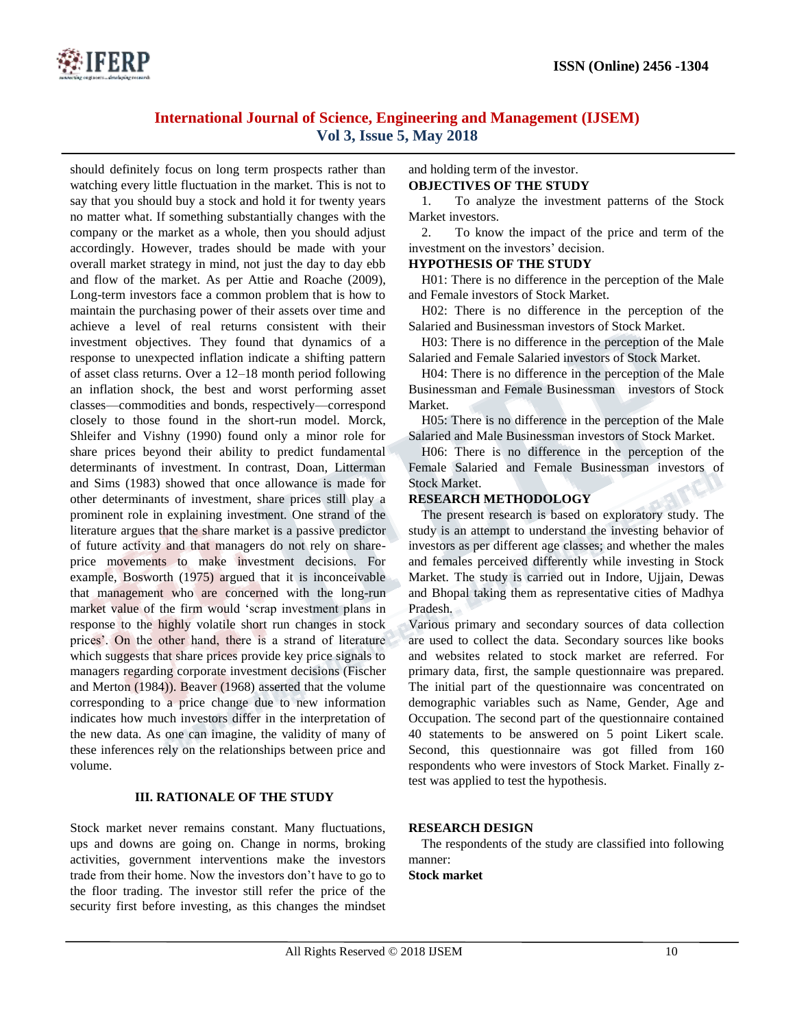

should definitely focus on long term prospects rather than watching every little fluctuation in the market. This is not to say that you should buy a stock and hold it for twenty years no matter what. If something substantially changes with the company or the market as a whole, then you should adjust accordingly. However, trades should be made with your overall market strategy in mind, not just the day to day ebb and flow of the market. As per Attie and Roache (2009), Long-term investors face a common problem that is how to maintain the purchasing power of their assets over time and achieve a level of real returns consistent with their investment objectives. They found that dynamics of a response to unexpected inflation indicate a shifting pattern of asset class returns. Over a 12–18 month period following an inflation shock, the best and worst performing asset classes—commodities and bonds, respectively—correspond closely to those found in the short-run model. Morck, Shleifer and Vishny (1990) found only a minor role for share prices beyond their ability to predict fundamental determinants of investment. In contrast, Doan, Litterman and Sims (1983) showed that once allowance is made for other determinants of investment, share prices still play a prominent role in explaining investment. One strand of the literature argues that the share market is a passive predictor of future activity and that managers do not rely on shareprice movements to make investment decisions. For example, Bosworth (1975) argued that it is inconceivable that management who are concerned with the long-run market value of the firm would 'scrap investment plans in response to the highly volatile short run changes in stock prices'. On the other hand, there is a strand of literature which suggests that share prices provide key price signals to managers regarding corporate investment decisions (Fischer and Merton (1984)). Beaver (1968) asserted that the volume corresponding to a price change due to new information indicates how much investors differ in the interpretation of the new data. As one can imagine, the validity of many of these inferences rely on the relationships between price and volume.

### **III. RATIONALE OF THE STUDY**

Stock market never remains constant. Many fluctuations, ups and downs are going on. Change in norms, broking activities, government interventions make the investors trade from their home. Now the investors don't have to go to the floor trading. The investor still refer the price of the security first before investing, as this changes the mindset

#### and holding term of the investor. **OBJECTIVES OF THE STUDY**

1. To analyze the investment patterns of the Stock Market investors.

2. To know the impact of the price and term of the investment on the investors' decision.

#### **HYPOTHESIS OF THE STUDY**

H01: There is no difference in the perception of the Male and Female investors of Stock Market.

H02: There is no difference in the perception of the Salaried and Businessman investors of Stock Market.

H03: There is no difference in the perception of the Male Salaried and Female Salaried investors of Stock Market.

H04: There is no difference in the perception of the Male Businessman and Female Businessman investors of Stock Market.

H05: There is no difference in the perception of the Male Salaried and Male Businessman investors of Stock Market.

H06: There is no difference in the perception of the Female Salaried and Female Businessman investors of Stock Market.

#### **RESEARCH METHODOLOGY**

The present research is based on exploratory study. The study is an attempt to understand the investing behavior of investors as per different age classes; and whether the males and females perceived differently while investing in Stock Market. The study is carried out in Indore, Ujjain, Dewas and Bhopal taking them as representative cities of Madhya Pradesh.

Various primary and secondary sources of data collection are used to collect the data. Secondary sources like books and websites related to stock market are referred. For primary data, first, the sample questionnaire was prepared. The initial part of the questionnaire was concentrated on demographic variables such as Name, Gender, Age and Occupation. The second part of the questionnaire contained 40 statements to be answered on 5 point Likert scale. Second, this questionnaire was got filled from 160 respondents who were investors of Stock Market. Finally ztest was applied to test the hypothesis.

### **RESEARCH DESIGN**

The respondents of the study are classified into following manner:

#### **Stock market**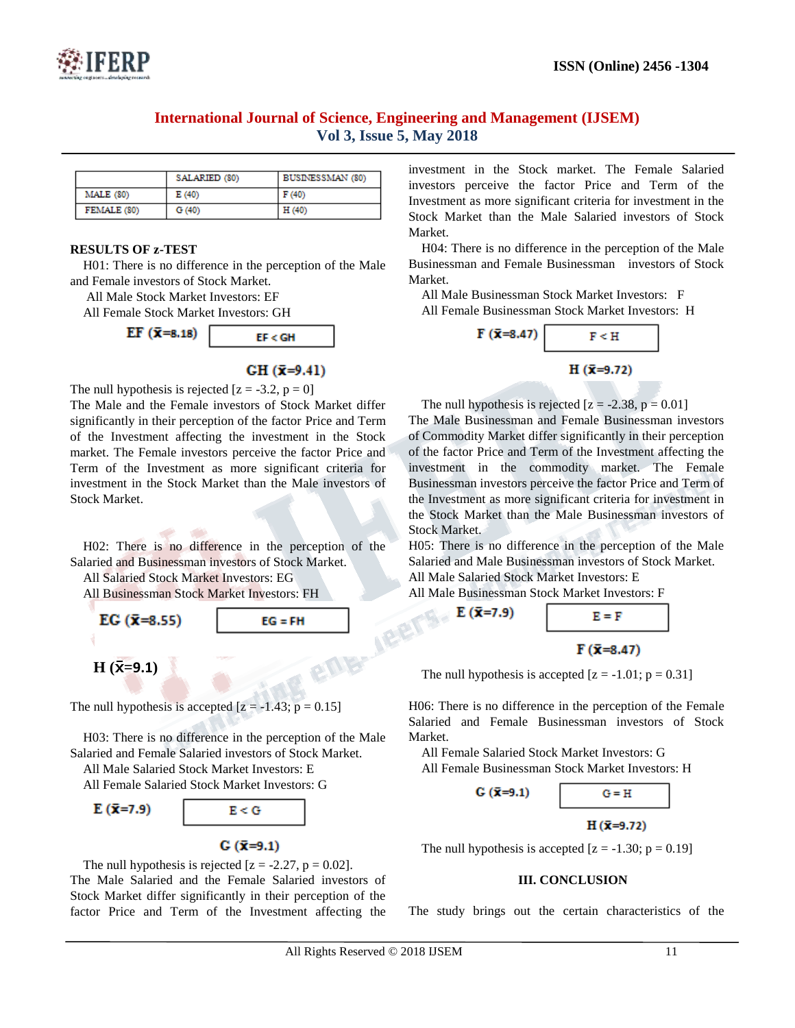

|                  | SALARIED (80) | BUSINESSMAN (80) |
|------------------|---------------|------------------|
| <b>MALE</b> (80) | E(40)         | F(40)            |
| FEMALE (80)      | G(40)         | H(40)            |

#### **RESULTS OF z-TEST**

H01: There is no difference in the perception of the Male and Female investors of Stock Market.

All Male Stock Market Investors: EF

All Female Stock Market Investors: GH



## $CH (x=9.41)$

The null hypothesis is rejected  $[z = -3.2, p = 0]$ 

The Male and the Female investors of Stock Market differ significantly in their perception of the factor Price and Term of the Investment affecting the investment in the Stock market. The Female investors perceive the factor Price and Term of the Investment as more significant criteria for investment in the Stock Market than the Male investors of Stock Market.

H02: There is no difference in the perception of the Salaried and Businessman investors of Stock Market.

All Salaried Stock Market Investors: EG

All Businessman Stock Market Investors: FH



The null hypothesis is accepted  $[z = -1.43; p = 0.15]$ 

H03: There is no difference in the perception of the Male Salaried and Female Salaried investors of Stock Market.

All Male Salaried Stock Market Investors: E

All Female Salaried Stock Market Investors: G

$$
E(\bar{x}=7.9)
$$

 $E < G$  $G(\bar{x}=9.1)$ 

The null hypothesis is rejected  $[z = -2.27, p = 0.02]$ . The Male Salaried and the Female Salaried investors of Stock Market differ significantly in their perception of the factor Price and Term of the Investment affecting the

investment in the Stock market. The Female Salaried investors perceive the factor Price and Term of the Investment as more significant criteria for investment in the Stock Market than the Male Salaried investors of Stock Market.

H04: There is no difference in the perception of the Male Businessman and Female Businessman investors of Stock Market.

All Male Businessman Stock Market Investors: F All Female Businessman Stock Market Investors: H



The null hypothesis is rejected  $[z = -2.38, p = 0.01]$ 

The Male Businessman and Female Businessman investors of Commodity Market differ significantly in their perception of the factor Price and Term of the Investment affecting the investment in the commodity market. The Female Businessman investors perceive the factor Price and Term of the Investment as more significant criteria for investment in the Stock Market than the Male Businessman investors of Stock Market.

H05: There is no difference in the perception of the Male Salaried and Male Businessman investors of Stock Market. All Male Salaried Stock Market Investors: E

All Male Businessman Stock Market Investors: F



 $F(\bar{x}=8.47)$ 

H06: There is no difference in the perception of the Female Salaried and Female Businessman investors of Stock Market.

All Female Salaried Stock Market Investors: G All Female Businessman Stock Market Investors: H



The null hypothesis is accepted  $[z = -1.30; p = 0.19]$ 

#### **III. CONCLUSION**

The study brings out the certain characteristics of the